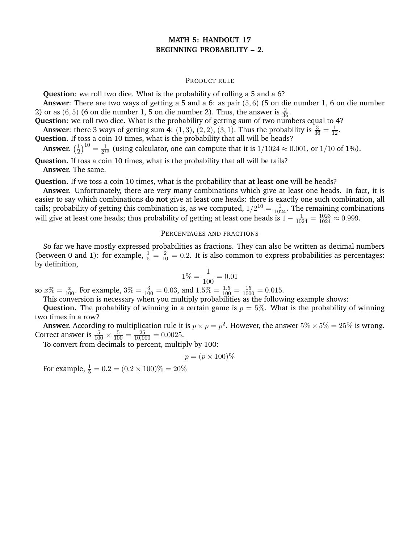## **MATH 5: HANDOUT 17 BEGINNING PROBABILITY – 2.**

## PRODUCT RULE

**Question**: we roll two dice. What is the probability of rolling a 5 and a 6?

**Answer**: There are two ways of getting a 5 and a 6: as pair (5, 6) (5 on die number 1, 6 on die number 2) or as (6, 5) (6 on die number 1, 5 on die number 2). Thus, the answer is  $\frac{2}{36}$ .

**Question**: we roll two dice. What is the probability of getting sum of two numbers equal to 4?

**Answer:** there 3 ways of getting sum 4:  $(1, 3)$ ,  $(2, 2)$ ,  $(3, 1)$ . Thus the probability is  $\frac{3}{36} = \frac{1}{12}$ .

**Question.** If toss a coin 10 times, what is the probability that all will be heads?

**Answer.**  $\left(\frac{1}{2}\right)$  $\frac{1}{2}$ <sup>10</sup> =  $\frac{1}{2^1}$  $\frac{1}{2^{10}}$  (using calculator, one can compute that it is  $1/1024 \approx 0.001$ , or  $1/10$  of 1%).

**Question.** If toss a coin 10 times, what is the probability that all will be tails? **Answer.** The same.

**Question.** If we toss a coin 10 times, what is the probability that **at least one** will be heads?

**Answer.** Unfortunately, there are very many combinations which give at least one heads. In fact, it is easier to say which combinations **do not** give at least one heads: there is exactly one such combination, all tails; probability of getting this combination is, as we computed,  $1/2^{10} = \frac{1}{1024}$ . The remaining combinations will give at least one heads; thus probability of getting at least one heads is  $1-\frac{1}{1024}=\frac{1023}{1024}\approx 0.999$ .

## PERCENTAGES AND FRACTIONS

So far we have mostly expressed probabilities as fractions. They can also be written as decimal numbers (between 0 and 1): for example,  $\frac{1}{5} = \frac{2}{10} = 0.2$ . It is also common to express probabilities as percentages: by definition,

$$
1\% = \frac{1}{100} = 0.01
$$

so  $x\% = \frac{x}{100}$ . For example,  $3\% = \frac{3}{100} = 0.03$ , and  $1.5\% = \frac{1.5}{100} = \frac{15}{1000} = 0.015$ .

This conversion is necessary when you multiply probabilities as the following example shows:

**Question.** The probability of winning in a certain game is  $p = 5\%$ . What is the probability of winning two times in a row?

**Answer.** According to multiplication rule it is  $p \times p = p^2$ . However, the answer  $5\% \times 5\% = 25\%$  is wrong. Correct answer is  $\frac{5}{100} \times \frac{5}{100} = \frac{25}{10,000} = 0.0025$ .

To convert from decimals to percent, multiply by 100:

$$
p = (p \times 100)\%
$$

For example,  $\frac{1}{5} = 0.2 = (0.2 \times 100)\% = 20\%$